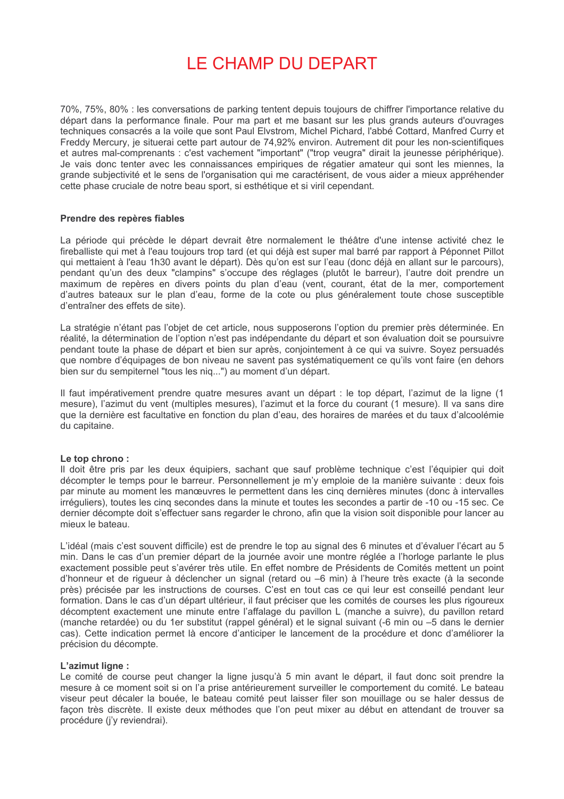# LE CHAMP DU DEPART

70%, 75%, 80% : les conversations de parking tentent depuis toujours de chiffrer l'importance relative du départ dans la performance finale. Pour ma part et me basant sur les plus grands auteurs d'ouvrages techniques consacrés a la voile que sont Paul Elvstrom, Michel Pichard, l'abbé Cottard, Manfred Curry et Freddy Mercury, je situerai cette part autour de 74,92% environ. Autrement dit pour les non-scientifiques et autres mal-comprenants : c'est vachement "important" ("trop veugra" dirait la jeunesse périphérique). Je vais donc tenter avec les connaissances empiriques de régatier amateur qui sont les miennes, la grande subiectivité et le sens de l'organisation qui me caractérisent, de vous aider a mieux appréhender cette phase cruciale de notre beau sport, si esthétique et si viril cependant.

### Prendre des repères fiables

La période qui précède le départ devrait être normalement le théâtre d'une intense activité chez le fireballiste qui met à l'eau toujours trop tard (et qui déjà est super mal barré par rapport à Péponnet Pillot qui mettaient à l'eau 1h30 avant le départ). Dès qu'on est sur l'eau (donc déjà en allant sur le parcours), pendant qu'un des deux "clampins" s'occupe des réglages (plutôt le barreur), l'autre doit prendre un maximum de repères en divers points du plan d'eau (vent, courant, état de la mer, comportement d'autres bateaux sur le plan d'eau, forme de la cote ou plus généralement toute chose susceptible d'entraîner des effets de site).

La stratégie n'étant pas l'obiet de cet article, nous supposerons l'option du premier près déterminée. En réalité. la détermination de l'option n'est pas indépendante du départ et son évaluation doit se poursuivre pendant toute la phase de départ et bien sur après, conjointement à ce qui va suivre. Sovez persuadés que nombre d'équipages de bon niveau ne savent pas systématiquement ce qu'ils vont faire (en dehors bien sur du sempiternel "tous les niq...") au moment d'un départ.

Il faut impérativement prendre quatre mesures avant un départ : le top départ, l'azimut de la ligne (1) mesure), l'azimut du vent (multiples mesures), l'azimut et la force du courant (1 mesure). Il va sans dire que la dernière est facultative en fonction du plan d'eau, des horaires de marées et du taux d'alcoolémie du capitaine.

#### Le top chrono:

Il doit être pris par les deux équipiers, sachant que sauf problème technique c'est l'équipier qui doit décompter le temps pour le barreur. Personnellement je m'y emploie de la manière suivante : deux fois par minute au moment les manœuvres le permettent dans les cinq dernières minutes (donc à intervalles irréguliers), toutes les cinq secondes dans la minute et toutes les secondes a partir de -10 ou -15 sec. Ce dernier décompte doit s'effectuer sans regarder le chrono, afin que la vision soit disponible pour lancer au mieux le bateau.

L'idéal (mais c'est souvent difficile) est de prendre le top au signal des 6 minutes et d'évaluer l'écart au 5 min. Dans le cas d'un premier départ de la journée avoir une montre réglée a l'horloge parlante le plus exactement possible peut s'avérer très utile. En effet nombre de Présidents de Comités mettent un point d'honneur et de rigueur à déclencher un signal (retard ou -6 min) à l'heure très exacte (à la seconde près) précisée par les instructions de courses. C'est en tout cas ce qui leur est conseillé pendant leur formation. Dans le cas d'un départ ultérieur, il faut préciser que les comités de courses les plus rigoureux décomptent exactement une minute entre l'affalage du pavillon L (manche a suivre), du pavillon retard (manche retardée) ou du 1er substitut (rappel général) et le signal suivant (-6 min ou -5 dans le dernier cas). Cette indication permet là encore d'anticiper le lancement de la procédure et donc d'améliorer la précision du décompte.

#### L'azimut ligne :

Le comité de course peut changer la ligne jusqu'à 5 min avant le départ, il faut donc soit prendre la mesure à ce moment soit si on l'a prise antérieurement surveiller le comportement du comité. Le bateau viseur peut décaler la bouée, le bateau comité peut laisser filer son mouillage ou se haler dessus de façon très discrète. Il existe deux méthodes que l'on peut mixer au début en attendant de trouver sa procédure (j'y reviendrai).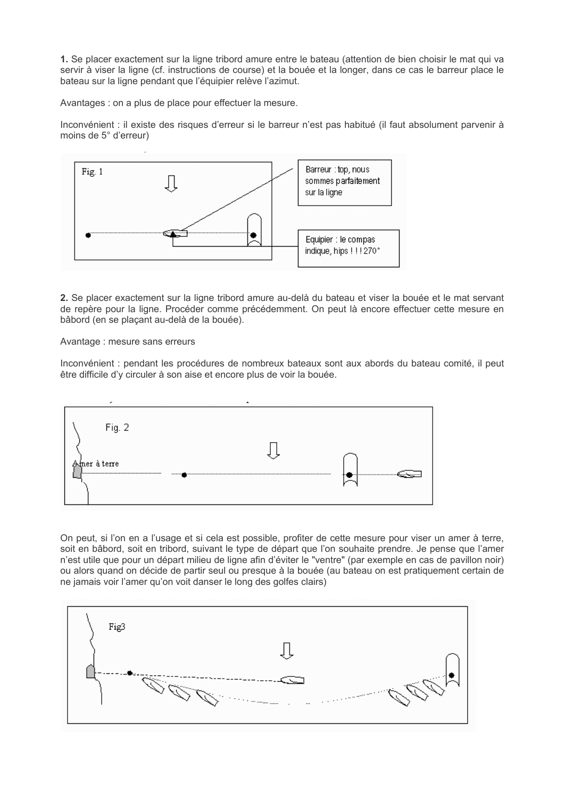1. Se placer exactement sur la ligne tribord amure entre le bateau (attention de bien choisir le mat qui va servir à viser la ligne (cf. instructions de course) et la bouée et la longer, dans ce cas le barreur place le bateau sur la ligne pendant que l'équipier relève l'azimut.

Avantages : on a plus de place pour effectuer la mesure.

Inconvénient : il existe des risques d'erreur si le barreur n'est pas habitué (il faut absolument parvenir à moins de 5° d'erreur)



2. Se placer exactement sur la ligne tribord amure au-delà du bateau et viser la bouée et le mat servant de repère pour la ligne. Procéder comme précédemment. On peut là encore effectuer cette mesure en bâbord (en se placant au-delà de la bouée).

#### Avantage : mesure sans erreurs

Inconvénient : pendant les procédures de nombreux bateaux sont aux abords du bateau comité, il peut être difficile d'y circuler à son aise et encore plus de voir la bouée.



On peut, si l'on en a l'usage et si cela est possible, profiter de cette mesure pour viser un amer à terre, soit en bâbord, soit en tribord, suivant le type de départ que l'on souhaite prendre. Je pense que l'amer n'est utile que pour un départ milieu de ligne afin d'éviter le "ventre" (par exemple en cas de pavillon noir) ou alors quand on décide de partir seul ou presque à la bouée (au bateau on est pratiquement certain de ne jamais voir l'amer qu'on voit danser le long des golfes clairs)

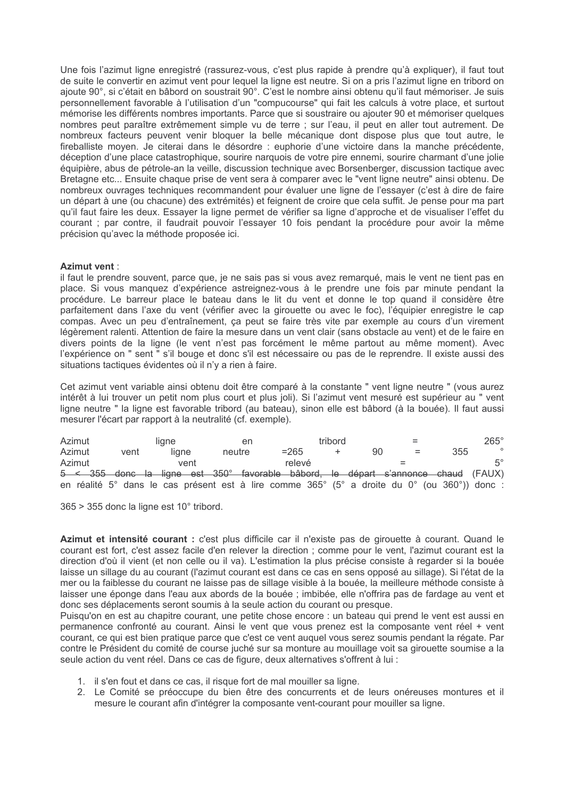Une fois l'azimut ligne enregistré (rassurez-vous, c'est plus rapide à prendre qu'à expliquer), il faut tout de suite le convertir en azimut vent pour lequel la ligne est neutre. Si on a pris l'azimut ligne en tribord on ajoute 90°, si c'était en bâbord on soustrait 90°. C'est le nombre ainsi obtenu qu'il faut mémoriser. Je suis personnellement favorable à l'utilisation d'un "compucourse" qui fait les calculs à votre place, et surtout mémorise les différents nombres importants. Parce que si soustraire ou ajouter 90 et mémoriser quelques nombres peut paraître extrêmement simple vu de terre ; sur l'eau, il peut en aller tout autrement. De nombreux facteurs peuvent venir bloquer la belle mécanique dont dispose plus que tout autre, le fireballiste moven. Je citerai dans le désordre : euphorie d'une victoire dans la manche précédente. déception d'une place catastrophique, sourire narquois de votre pire ennemi, sourire charmant d'une jolie équipière, abus de pétrole-an la veille, discussion technique avec Borsenberger, discussion tactique avec Bretagne etc... Ensuite chaque prise de vent sera à comparer avec le "vent ligne neutre" ainsi obtenu. De nombreux ouvrages techniques recommandent pour évaluer une ligne de l'essayer (c'est à dire de faire un départ à une (ou chacune) des extrémités) et feignent de croire que cela suffit. Je pense pour ma part qu'il faut faire les deux. Essayer la ligne permet de vérifier sa ligne d'approche et de visualiser l'effet du courant ; par contre, il faudrait pouvoir l'essayer 10 fois pendant la procédure pour avoir la même précision qu'avec la méthode proposée ici.

### Azimut vent:

il faut le prendre souvent, parce que, je ne sais pas si vous avez remarqué, mais le vent ne tient pas en place. Si vous manquez d'expérience astreignez-vous à le prendre une fois par minute pendant la procédure. Le barreur place le bateau dans le lit du vent et donne le top quand il considère être parfaitement dans l'axe du vent (vérifier avec la girouette ou avec le foc), l'équipier enregistre le cap compas. Avec un peu d'entraînement, ça peut se faire très vite par exemple au cours d'un virement légèrement ralenti. Attention de faire la mesure dans un vent clair (sans obstacle au vent) et de le faire en divers points de la ligne (le vent n'est pas forcément le même partout au même moment). Avec l'expérience on " sent " s'il bouge et donc s'il est nécessaire ou pas de le reprendre. Il existe aussi des situations tactiques évidentes où il n'y a rien à faire.

Cet azimut vent variable ainsi obtenu doit être comparé à la constante " vent ligne neutre " (vous aurez intérêt à lui trouver un petit nom plus court et plus joli). Si l'azimut vent mesuré est supérieur au " vent ligne neutre " la ligne est favorable tribord (au bateau), sinon elle est bâbord (à la bouée). Il faut aussi mesurer l'écart par rapport à la neutralité (cf. exemple).

| Azimut |  | liane |  |       |  |        |  |         | tribord | $=$ |     |  |     | $265^\circ$                                                                                     |         |
|--------|--|-------|--|-------|--|--------|--|---------|---------|-----|-----|--|-----|-------------------------------------------------------------------------------------------------|---------|
| Azimut |  | vent  |  | liane |  | neutre |  | $= 265$ |         |     | 90  |  | $=$ | 355                                                                                             | $\circ$ |
| Azimut |  |       |  | vent  |  |        |  | relevé  |         |     | $=$ |  |     |                                                                                                 |         |
|        |  |       |  |       |  |        |  |         |         |     |     |  |     | $5 \leq 355$ donc la ligne est $350^{\circ}$ favorable bâbord, le départ s'annonce chaud (FAUX) |         |
|        |  |       |  |       |  |        |  |         |         |     |     |  |     | en réalité 5° dans le cas présent est à lire comme 365° (5° a droite du 0° (ou 360°)) donc :    |         |

365 > 355 donc la ligne est 10° tribord.

Azimut et intensité courant : c'est plus difficile car il n'existe pas de girouette à courant. Quand le courant est fort, c'est assez facile d'en relever la direction ; comme pour le vent, l'azimut courant est la direction d'où il vient (et non celle ou il va). L'estimation la plus précise consiste à regarder si la bouée laisse un sillage du au courant (l'azimut courant est dans ce cas en sens opposé au sillage). Si l'état de la mer ou la faiblesse du courant ne laisse pas de sillage visible à la bouée, la meilleure méthode consiste à laisser une éponge dans l'eau aux abords de la bouée : imbibée, elle n'offrira pas de fardage au vent et donc ses déplacements seront soumis à la seule action du courant ou presque.

Puisqu'on en est au chapitre courant, une petite chose encore : un bateau qui prend le vent est aussi en permanence confronté au courant. Ainsi le vent que vous prenez est la composante vent réel + vent courant, ce qui est bien pratique parce que c'est ce vent auquel vous serez soumis pendant la régate. Par contre le Président du comité de course juché sur sa monture au mouillage voit sa girouette soumise a la seule action du vent réel. Dans ce cas de figure, deux alternatives s'offrent à lui :

- 1. il s'en fout et dans ce cas, il risque fort de mal mouiller sa ligne.
- 2. Le Comité se préoccupe du bien être des concurrents et de leurs onéreuses montures et il mesure le courant afin d'intégrer la composante vent-courant pour mouiller sa ligne.